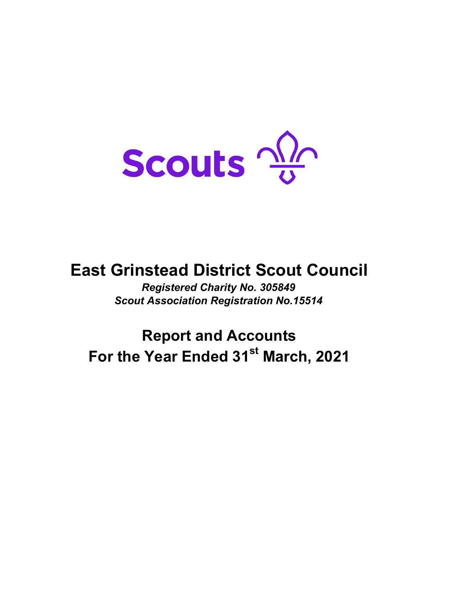Scouts 2

# **East Grinstead District Scout Council**

*Registered Charity No. 305849 Scout Association Registration No.15514*

# **Report and Accounts** For the Year Ended 31<sup>st</sup> March, 2021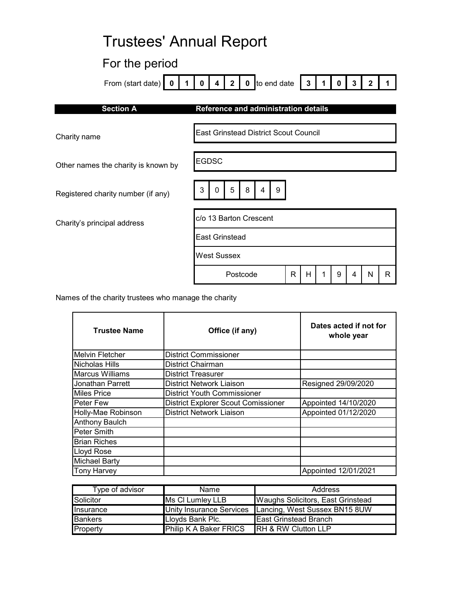# Trustees' Annual Report

# For the period

| From (start date)                   | 2 0 to end date<br>$\mathbf 0$<br>$\overline{\mathbf{4}}$<br>$\mathbf{3}$<br>3 |
|-------------------------------------|--------------------------------------------------------------------------------|
| <b>Section A</b>                    | Reference and administration details                                           |
| Charity name                        | <b>East Grinstead District Scout Council</b>                                   |
| Other names the charity is known by | <b>EGDSC</b>                                                                   |
| Registered charity number (if any)  | 5<br>8<br>3<br>9<br>0<br>4                                                     |
| Charity's principal address         | c/o 13 Barton Crescent                                                         |
|                                     | <b>East Grinstead</b>                                                          |
|                                     | <b>West Sussex</b>                                                             |

Names of the charity trustees who manage the charity

| <b>Trustee Name</b>    | Office (if any)                            | Dates acted if not for<br>whole year |
|------------------------|--------------------------------------------|--------------------------------------|
| <b>Melvin Fletcher</b> | <b>District Commissioner</b>               |                                      |
| Nicholas Hills         | <b>District Chairman</b>                   |                                      |
| <b>Marcus Williams</b> | <b>District Treasurer</b>                  |                                      |
| Jonathan Parrett       | <b>District Network Liaison</b>            | Resigned 29/09/2020                  |
| <b>Miles Price</b>     | <b>District Youth Commissioner</b>         |                                      |
| Peter Few              | <b>District Explorer Scout Comissioner</b> | Appointed 14/10/2020                 |
| Holly-Mae Robinson     | <b>District Network Liaison</b>            | Appointed 01/12/2020                 |
| Anthony Baulch         |                                            |                                      |
| Peter Smith            |                                            |                                      |
| <b>Brian Riches</b>    |                                            |                                      |
| Lloyd Rose             |                                            |                                      |
| <b>Michael Barty</b>   |                                            |                                      |
| <b>Tony Harvey</b>     |                                            | Appointed 12/01/2021                 |

Postcode R H 1 9 4 N R

| Type of advisor | Name                          | Address                                                |
|-----------------|-------------------------------|--------------------------------------------------------|
| Solicitor       | Ms CI Lumley LLB              | <b>Waughs Solicitors, East Grinstead</b>               |
| Insurance       |                               | Unity Insurance Services Lancing, West Sussex BN15 8UW |
| <b>Bankers</b>  | Lloyds Bank Plc.              | <b>East Grinstead Branch</b>                           |
| Property        | <b>Philip K A Baker FRICS</b> | <b>IRH &amp; RW Clutton LLP</b>                        |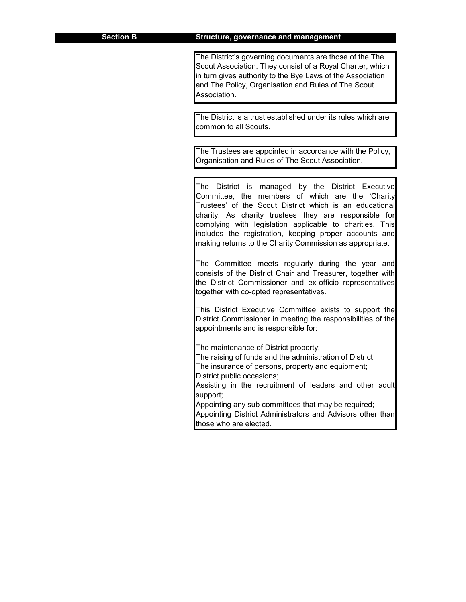The District's governing documents are those of the The Scout Association. They consist of a Royal Charter, which in turn gives authority to the Bye Laws of the Association and The Policy, Organisation and Rules of The Scout Association.

The District is a trust established under its rules which are common to all Scouts.

The Trustees are appointed in accordance with the Policy, Organisation and Rules of The Scout Association.

The District is managed by the District Executive Committee, the members of which are the 'Charity Trustees' of the Scout District which is an educational charity. As charity trustees they are responsible for complying with legislation applicable to charities. This includes the registration, keeping proper accounts and making returns to the Charity Commission as appropriate.

The Committee meets regularly during the year and consists of the District Chair and Treasurer, together with the District Commissioner and ex-officio representatives together with co-opted representatives.

This District Executive Committee exists to support the District Commissioner in meeting the responsibilities of the appointments and is responsible for:

The maintenance of District property;

The raising of funds and the administration of District The insurance of persons, property and equipment;

District public occasions;

Assisting in the recruitment of leaders and other adult support;

Appointing District Administrators and Advisors other than those who are elected. Appointing any sub committees that may be required;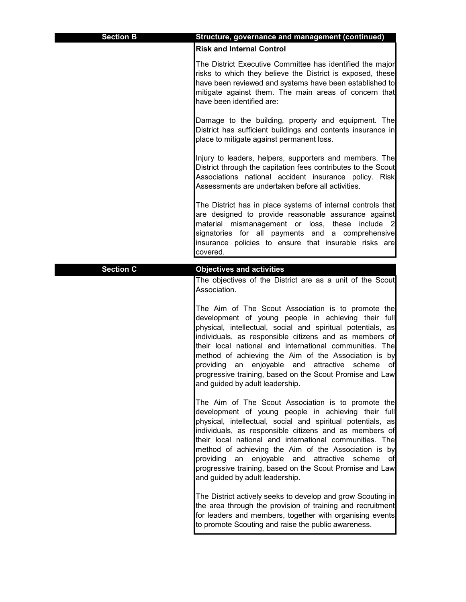| <b>Section B</b> | Structure, governance and management (continued)                                                                                                                                                                                                                                                                                                                                                                                                                                                        |
|------------------|---------------------------------------------------------------------------------------------------------------------------------------------------------------------------------------------------------------------------------------------------------------------------------------------------------------------------------------------------------------------------------------------------------------------------------------------------------------------------------------------------------|
|                  | <b>Risk and Internal Control</b>                                                                                                                                                                                                                                                                                                                                                                                                                                                                        |
|                  | The District Executive Committee has identified the major<br>risks to which they believe the District is exposed, these<br>have been reviewed and systems have been established to<br>mitigate against them. The main areas of concern that<br>have been identified are:                                                                                                                                                                                                                                |
|                  | Damage to the building, property and equipment. The<br>District has sufficient buildings and contents insurance in<br>place to mitigate against permanent loss.                                                                                                                                                                                                                                                                                                                                         |
|                  | Injury to leaders, helpers, supporters and members. The<br>District through the capitation fees contributes to the Scout<br>Associations national accident insurance policy. Risk<br>Assessments are undertaken before all activities.                                                                                                                                                                                                                                                                  |
|                  | The District has in place systems of internal controls that<br>are designed to provide reasonable assurance against<br>material mismanagement or loss, these include 2<br>signatories for all payments and a comprehensive<br>insurance policies to ensure that insurable risks are<br>covered.                                                                                                                                                                                                         |
| <b>Section C</b> | <b>Objectives and activities</b>                                                                                                                                                                                                                                                                                                                                                                                                                                                                        |
|                  | The objectives of the District are as a unit of the Scout<br>Association.                                                                                                                                                                                                                                                                                                                                                                                                                               |
|                  | The Aim of The Scout Association is to promote the<br>development of young people in achieving their full<br>physical, intellectual, social and spiritual potentials, as<br>individuals, as responsible citizens and as members of<br>their local national and international communities. The<br>method of achieving the Aim of the Association is by<br>providing an enjoyable and attractive scheme of<br>progressive training, based on the Scout Promise and Law<br>and guided by adult leadership. |
|                  | The Aim of The Scout Association is to promote the<br>development of young people in achieving their full<br>physical, intellectual, social and spiritual potentials, as<br>individuals, as responsible citizens and as members of<br>their local national and international communities. The<br>method of achieving the Aim of the Association is by<br>providing an enjoyable and attractive scheme of<br>progressive training, based on the Scout Promise and Law<br>and guided by adult leadership. |
|                  | The District actively seeks to develop and grow Scouting in<br>the area through the provision of training and recruitment<br>for leaders and members, together with organising events<br>to promote Scouting and raise the public awareness.                                                                                                                                                                                                                                                            |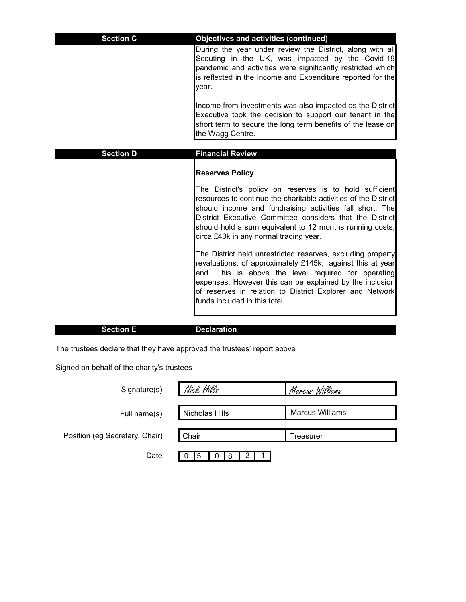| <b>Section C</b> | <b>Objectives and activities (continued)</b>                                                                                                                                                                                                                                                                                                                                       |
|------------------|------------------------------------------------------------------------------------------------------------------------------------------------------------------------------------------------------------------------------------------------------------------------------------------------------------------------------------------------------------------------------------|
|                  | During the year under review the District, along with all<br>Scouting in the UK, was impacted by the Covid-19<br>pandemic and activities were significantly restricted which<br>is reflected in the Income and Expenditure reported for the<br>year.                                                                                                                               |
|                  | Income from investments was also impacted as the District<br>Executive took the decision to support our tenant in the<br>short term to secure the long term benefits of the lease on<br>the Wagg Centre.                                                                                                                                                                           |
| <b>Section D</b> | <b>Financial Review</b>                                                                                                                                                                                                                                                                                                                                                            |
|                  | <b>Reserves Policy</b><br>The District's policy on reserves is to hold sufficient<br>resources to continue the charitable activities of the District<br>should income and fundraising activities fall short. The<br>District Executive Committee considers that the District<br>should hold a sum equivalent to 12 months running costs,<br>circa £40k in any normal trading year. |
|                  | The District held unrestricted reserves, excluding property<br>revaluations, of approximately £145k, against this at year<br>end. This is above the level required for operating<br>expenses. However this can be explained by the inclusion<br>of reserves in relation to District Explorer and Network<br>funds included in this total.                                          |

# **Section E Declaration**

The trustees declare that they have approved the trustees' report above

Signed on behalf of the charity's trustees

| Signature(s)                   | Nick Hills     | Marcus Williams        |
|--------------------------------|----------------|------------------------|
| Full name(s)                   | Nicholas Hills | <b>Marcus Williams</b> |
| Position (eg Secretary, Chair) | Chair          | Γreasurer              |
| Date                           | 5<br>-8        |                        |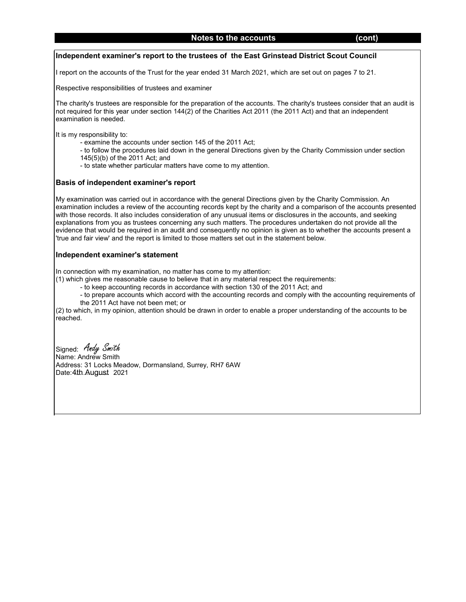#### **Independent examiner's report to the trustees of the East Grinstead District Scout Council**

I report on the accounts of the Trust for the year ended 31 March 2021, which are set out on pages 7 to 21.

Respective responsibilities of trustees and examiner

The charity's trustees are responsible for the preparation of the accounts. The charity's trustees consider that an audit is not required for this year under section 144(2) of the Charities Act 2011 (the 2011 Act) and that an independent examination is needed.

It is my responsibility to:

- examine the accounts under section 145 of the 2011 Act;
- to follow the procedures laid down in the general Directions given by the Charity Commission under section 145(5)(b) of the 2011 Act; and
- to state whether particular matters have come to my attention.

#### **Basis of independent examiner's report**

My examination was carried out in accordance with the general Directions given by the Charity Commission. An examination includes a review of the accounting records kept by the charity and a comparison of the accounts presented with those records. It also includes consideration of any unusual items or disclosures in the accounts, and seeking explanations from you as trustees concerning any such matters. The procedures undertaken do not provide all the evidence that would be required in an audit and consequently no opinion is given as to whether the accounts present a 'true and fair view' and the report is limited to those matters set out in the statement below.

#### **Independent examiner's statement**

In connection with my examination, no matter has come to my attention:

(1) which gives me reasonable cause to believe that in any material respect the requirements:

- to keep accounting records in accordance with section 130 of the 2011 Act; and

- to prepare accounts which accord with the accounting records and comply with the accounting requirements of the 2011 Act have not been met; or

(2) to which, in my opinion, attention should be drawn in order to enable a proper understanding of the accounts to be reached.

Signed: *Andy Smith* Name: Andrew Smith Address: 31 Locks Meadow, Dormansland, Surrey, RH7 6AW Date:4th.August 2021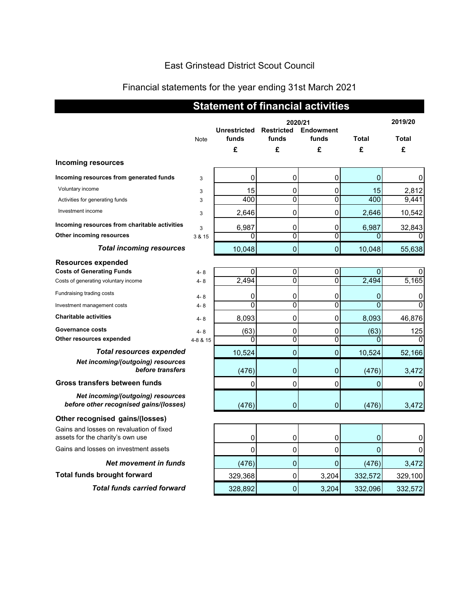# East Grinstead District Scout Council

# Financial statements for the year ending 31st March 2021

|                                                                              | <b>Statement of financial activities</b> |                              |                                       |                           |                |                  |
|------------------------------------------------------------------------------|------------------------------------------|------------------------------|---------------------------------------|---------------------------|----------------|------------------|
|                                                                              | Note                                     | <b>Unrestricted</b><br>funds | 2020/21<br><b>Restricted</b><br>funds | <b>Endowment</b><br>funds | Total          | 2019/20<br>Total |
| <b>Incoming resources</b>                                                    |                                          | £                            | £                                     | £                         | £              | £                |
| Incoming resources from generated funds                                      | 3                                        | 0                            | 0                                     | 0                         | 0              | 0                |
| Voluntary income                                                             | 3                                        | 15                           | 0                                     | 0                         | 15             | 2,812            |
| Activities for generating funds                                              | 3                                        | 400                          | $\overline{0}$                        | $\overline{0}$            | 400            | 9,441            |
| Investment income                                                            | 3                                        | 2,646                        | 0                                     | 0                         | 2,646          | 10,542           |
| Incoming resources from charitable activities                                | 3                                        | 6,987                        | 0                                     | 0                         | 6,987          | 32,843           |
| Other incoming resources                                                     | 3 & 15                                   | 0                            | $\overline{0}$                        | $\overline{0}$            | $\mathbf{0}$   | 0                |
| <b>Total incoming resources</b>                                              |                                          | 10,048                       | $\overline{0}$                        | 0                         | 10,048         | 55,638           |
| <b>Resources expended</b>                                                    |                                          |                              |                                       |                           |                |                  |
| <b>Costs of Generating Funds</b>                                             | $4 - 8$                                  | 0                            | 0                                     | 0                         | $\Omega$       | 0                |
| Costs of generating voluntary income                                         | $4 - 8$                                  | 2,494                        | $\overline{0}$                        | $\overline{0}$            | 2,494          | 5,165            |
| Fundraising trading costs                                                    | $4 - 8$                                  | 0                            | 0                                     | 0                         | 0              | 0                |
| Investment management costs                                                  | 4-8                                      | 0                            | 0                                     | 0                         | $\Omega$       | $\mathbf 0$      |
| <b>Charitable activities</b>                                                 | 4-8                                      | 8,093                        | 0                                     | 0                         | 8,093          | 46,876           |
| Governance costs                                                             | $4 - 8$                                  | (63)                         | 0                                     | 0                         | (63)           | 125              |
| Other resources expended                                                     | 4-8 & 15                                 | 0                            | $\overline{0}$                        | 0                         |                | $\Omega$         |
| <b>Total resources expended</b>                                              |                                          | 10,524                       | $\mathbf 0$                           | 0                         | 10,524         | 52,166           |
| Net incoming/(outgoing) resources<br>before transfers                        |                                          | (476)                        | 0                                     | 0                         | (476)          | 3,472            |
| Gross transfers between funds                                                |                                          | 0                            | 0                                     | 0                         | $\mathbf{0}$   | 0                |
| Net incoming/(outgoing) resources<br>before other recognised gains/(losses)  |                                          | (476)                        | $\mathbf 0$                           | $\mathbf 0$               | (476)          | 3,472            |
| Other recognised gains/(losses)                                              |                                          |                              |                                       |                           |                |                  |
| Gains and losses on revaluation of fixed<br>assets for the charity's own use |                                          | 0                            | 0                                     | $\overline{0}$            | $\overline{0}$ | 0                |
| Gains and losses on investment assets                                        |                                          | $\pmb{0}$                    | $\pmb{0}$                             | $\pmb{0}$                 | $\pmb{0}$      | 0                |
| <b>Net movement in funds</b>                                                 |                                          | (476)                        | $\mathbf 0$                           | $\mathbf 0$               | (476)          | 3,472            |
| <b>Total funds brought forward</b>                                           |                                          | 329,368                      | 0                                     | 3,204                     | 332,572        | 329,100          |
| <b>Total funds carried forward</b>                                           |                                          | 328,892                      | $\pmb{0}$                             | 3,204                     | 332,096        | 332,572          |
|                                                                              |                                          |                              |                                       |                           |                |                  |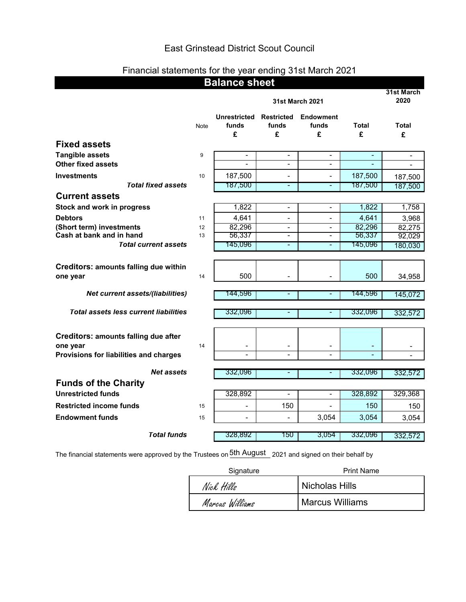# East Grinstead District Scout Council

# Financial statements for the year ending 31st March 2021

| <b>Balance sheet</b>                                                                              |      |                                   |                                 |                                |                    |            |
|---------------------------------------------------------------------------------------------------|------|-----------------------------------|---------------------------------|--------------------------------|--------------------|------------|
|                                                                                                   |      | <b>31st March 2021</b>            |                                 |                                | 31st March<br>2020 |            |
|                                                                                                   | Note | <b>Unrestricted</b><br>funds<br>£ | <b>Restricted</b><br>funds<br>£ | <b>Endowment</b><br>funds<br>£ | <b>Total</b><br>£  | Total<br>£ |
| <b>Fixed assets</b>                                                                               |      |                                   |                                 |                                |                    |            |
| <b>Tangible assets</b>                                                                            | 9    | $\blacksquare$                    | $\blacksquare$                  | $\blacksquare$                 | ÷,                 |            |
| <b>Other fixed assets</b>                                                                         |      |                                   | ٠                               | ٠                              |                    |            |
| <b>Investments</b>                                                                                | 10   | 187,500                           | $\overline{\phantom{a}}$        | $\overline{\phantom{0}}$       | 187,500            | 187,500    |
| <b>Total fixed assets</b>                                                                         |      | 187,500                           | ٠                               | ٠                              | 187,500            | 187,500    |
| <b>Current assets</b>                                                                             |      |                                   |                                 |                                |                    |            |
| Stock and work in progress                                                                        |      | 1,822                             | $\blacksquare$                  | $\blacksquare$                 | 1,822              | 1,758      |
| <b>Debtors</b>                                                                                    | 11   | 4,641                             |                                 |                                | 4,641              | 3,968      |
| (Short term) investments                                                                          | 12   | 82,296                            | $\blacksquare$                  | $\blacksquare$                 | 82,296             | 82,275     |
| Cash at bank and in hand                                                                          | 13   | 56,337                            | $\blacksquare$                  | $\blacksquare$                 | 56,337             | 92,029     |
| <b>Total current assets</b>                                                                       |      | 145,096                           | $\overline{\phantom{a}}$        | ٠                              | 145,096            | 180,030    |
| <b>Creditors: amounts falling due within</b><br>one year                                          | 14   | 500                               |                                 |                                | 500                | 34,958     |
| <b>Net current assets/(liabilities)</b>                                                           |      | 144,596                           | ٠                               | ٠                              | 144,596            | 145,072    |
| <b>Total assets less current liabilities</b>                                                      |      | 332,096                           | $\qquad \qquad \blacksquare$    | ٠                              | 332,096            | 332,572    |
| <b>Creditors: amounts falling due after</b><br>one year<br>Provisions for liabilities and charges | 14   | $\overline{a}$                    |                                 | $\overline{a}$                 | ٠<br>L.            |            |
|                                                                                                   |      |                                   |                                 |                                |                    |            |
| <b>Net assets</b>                                                                                 |      | 332,096                           | ٠                               |                                | 332,096            | 332,572    |
| <b>Funds of the Charity</b>                                                                       |      |                                   |                                 |                                |                    |            |
| <b>Unrestricted funds</b>                                                                         |      | 328,892                           | $\overline{a}$                  | ٠                              | 328,892            | 329,368    |
| <b>Restricted income funds</b>                                                                    | 15   |                                   | 150                             |                                | 150                | 150        |
| <b>Endowment funds</b>                                                                            | 15   | $\overline{\phantom{m}}$          | $\overline{\phantom{a}}$        | 3,054                          | 3,054              | 3,054      |
|                                                                                                   |      |                                   |                                 |                                |                    |            |
| <b>Total funds</b>                                                                                |      | 328,892                           | 150                             | 3,054                          | 332,096            | 332,572    |

The financial statements were approved by the Trustees on  $\rm{{5th} \; August}_{2021}$  and signed on their behalf by

| Signature       | <b>Print Name</b>      |  |  |
|-----------------|------------------------|--|--|
| Nick Hills      | Nicholas Hills         |  |  |
| Marcus Williams | <b>Marcus Williams</b> |  |  |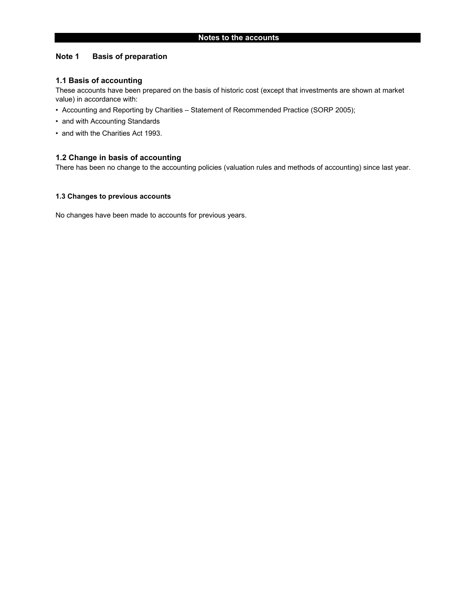#### **Note 1 Basis of preparation**

#### **1.1 Basis of accounting**

These accounts have been prepared on the basis of historic cost (except that investments are shown at market value) in accordance with:

- Accounting and Reporting by Charities Statement of Recommended Practice (SORP 2005);
- and with Accounting Standards
- and with the Charities Act 1993.

#### **1.2 Change in basis of accounting**

There has been no change to the accounting policies (valuation rules and methods of accounting) since last year.

#### **1.3 Changes to previous accounts**

No changes have been made to accounts for previous years.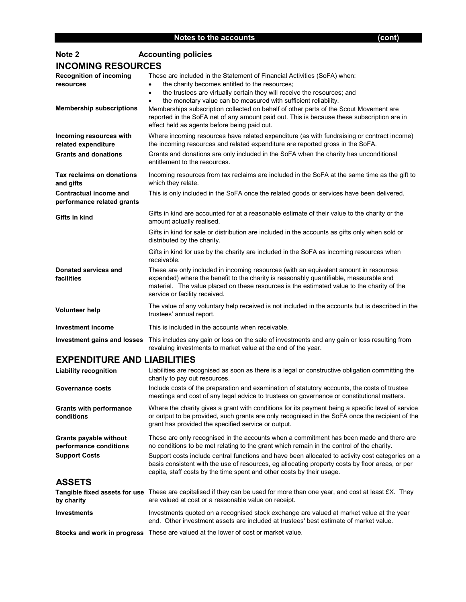| Note 2                                                                         | <b>Accounting policies</b>                                                                                                                                                                                                                                                                                                                                                                  |  |  |  |  |
|--------------------------------------------------------------------------------|---------------------------------------------------------------------------------------------------------------------------------------------------------------------------------------------------------------------------------------------------------------------------------------------------------------------------------------------------------------------------------------------|--|--|--|--|
| <b>INCOMING RESOURCES</b>                                                      |                                                                                                                                                                                                                                                                                                                                                                                             |  |  |  |  |
| <b>Recognition of incoming</b><br>resources<br><b>Membership subscriptions</b> | These are included in the Statement of Financial Activities (SoFA) when:<br>the charity becomes entitled to the resources;<br>the trustees are virtually certain they will receive the resources; and<br>$\bullet$<br>the monetary value can be measured with sufficient reliability.<br>$\bullet$<br>Memberships subscription collected on behalf of other parts of the Scout Movement are |  |  |  |  |
|                                                                                | reported in the SoFA net of any amount paid out. This is because these subscription are in<br>effect held as agents before being paid out.                                                                                                                                                                                                                                                  |  |  |  |  |
| Incoming resources with<br>related expenditure                                 | Where incoming resources have related expenditure (as with fundraising or contract income)<br>the incoming resources and related expenditure are reported gross in the SoFA.                                                                                                                                                                                                                |  |  |  |  |
| <b>Grants and donations</b>                                                    | Grants and donations are only included in the SoFA when the charity has unconditional<br>entitlement to the resources.                                                                                                                                                                                                                                                                      |  |  |  |  |
| Tax reclaims on donations<br>and gifts                                         | Incoming resources from tax reclaims are included in the SoFA at the same time as the gift to<br>which they relate.                                                                                                                                                                                                                                                                         |  |  |  |  |
| <b>Contractual income and</b><br>performance related grants                    | This is only included in the SoFA once the related goods or services have been delivered.                                                                                                                                                                                                                                                                                                   |  |  |  |  |
| Gifts in kind                                                                  | Gifts in kind are accounted for at a reasonable estimate of their value to the charity or the<br>amount actually realised.                                                                                                                                                                                                                                                                  |  |  |  |  |
|                                                                                | Gifts in kind for sale or distribution are included in the accounts as gifts only when sold or<br>distributed by the charity.                                                                                                                                                                                                                                                               |  |  |  |  |
|                                                                                | Gifts in kind for use by the charity are included in the SoFA as incoming resources when<br>receivable.                                                                                                                                                                                                                                                                                     |  |  |  |  |
| Donated services and<br>facilities                                             | These are only included in incoming resources (with an equivalent amount in resources<br>expended) where the benefit to the charity is reasonably quantifiable, measurable and<br>material. The value placed on these resources is the estimated value to the charity of the<br>service or facility received.                                                                               |  |  |  |  |
| <b>Volunteer help</b>                                                          | The value of any voluntary help received is not included in the accounts but is described in the<br>trustees' annual report.                                                                                                                                                                                                                                                                |  |  |  |  |
| <b>Investment income</b>                                                       | This is included in the accounts when receivable.                                                                                                                                                                                                                                                                                                                                           |  |  |  |  |
|                                                                                | Investment gains and losses This includes any gain or loss on the sale of investments and any gain or loss resulting from<br>revaluing investments to market value at the end of the year.                                                                                                                                                                                                  |  |  |  |  |
| <b>EXPENDITURE AND LIABILITIES</b>                                             |                                                                                                                                                                                                                                                                                                                                                                                             |  |  |  |  |
| <b>Liability recognition</b>                                                   | Liabilities are recognised as soon as there is a legal or constructive obligation committing the<br>charity to pay out resources.                                                                                                                                                                                                                                                           |  |  |  |  |
| <b>Governance costs</b>                                                        | Include costs of the preparation and examination of statutory accounts, the costs of trustee<br>meetings and cost of any legal advice to trustees on governance or constitutional matters.                                                                                                                                                                                                  |  |  |  |  |

**Grants with performance conditions** Where the charity gives a grant with conditions for its payment being a specific level of service or output to be provided, such grants are only recognised in the SoFA once the recipient of the grant has provided the specified service or output.

**Grants payable without performance conditions** These are only recognised in the accounts when a commitment has been made and there are no conditions to be met relating to the grant which remain in the control of the charity. **Support Costs** Support costs include central functions and have been allocated to activity cost categories on a basis consistent with the use of resources, eg allocating property costs by floor areas, or per capita, staff costs by the time spent and other costs by their usage.

### **ASSETS**

| by charity         | <b>Tangible fixed assets for use</b> These are capitalised if they can be used for more than one year, and cost at least £X. They<br>are valued at cost or a reasonable value on receipt. |
|--------------------|-------------------------------------------------------------------------------------------------------------------------------------------------------------------------------------------|
| <b>Investments</b> | Investments quoted on a recognised stock exchange are valued at market value at the year<br>end. Other investment assets are included at trustees' best estimate of market value.         |
|                    | <b>Stocks and work in progress</b> These are valued at the lower of cost or market value.                                                                                                 |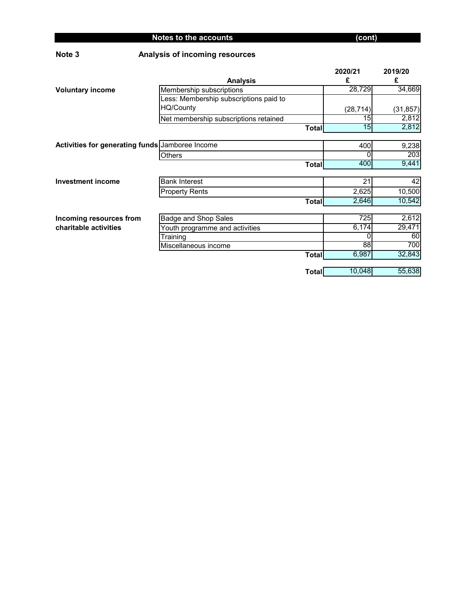| Note 3                                          | Analysis of incoming resources         |              |           |           |
|-------------------------------------------------|----------------------------------------|--------------|-----------|-----------|
|                                                 |                                        |              | 2020/21   | 2019/20   |
|                                                 | <b>Analysis</b>                        |              | £         | £         |
| <b>Voluntary income</b>                         | Membership subscriptions               |              | 28,729    | 34,669    |
|                                                 | Less: Membership subscriptions paid to |              |           |           |
|                                                 | HQ/County                              |              | (28, 714) | (31, 857) |
|                                                 | Net membership subscriptions retained  |              | 15        | 2,812     |
|                                                 |                                        | <b>Total</b> | 15        | 2,812     |
|                                                 |                                        |              |           |           |
| Activities for generating funds Jamboree Income |                                        |              | 400       | 9,238     |
|                                                 | Others                                 |              | 0         | 203       |
|                                                 |                                        | <b>Total</b> | 400       | 9,441     |
|                                                 |                                        |              |           |           |
| <b>Investment income</b>                        | <b>Bank Interest</b>                   |              | 21        | 42        |
|                                                 | <b>Property Rents</b>                  |              | 2,625     | 10,500    |
|                                                 |                                        | <b>Total</b> | 2,646     | 10,542    |
|                                                 |                                        |              |           |           |
| Incoming resources from                         | <b>Badge and Shop Sales</b>            |              | 725       | 2,612     |
| charitable activities                           | Youth programme and activities         |              | 6,174     | 29,471    |
|                                                 | Training                               |              | 0         | 60        |
|                                                 | Miscellaneous income                   |              | 88        | 700       |
|                                                 |                                        | <b>Total</b> | 6,987     | 32,843    |
|                                                 |                                        |              |           |           |
|                                                 |                                        | <b>Total</b> | 10,048    | 55,638    |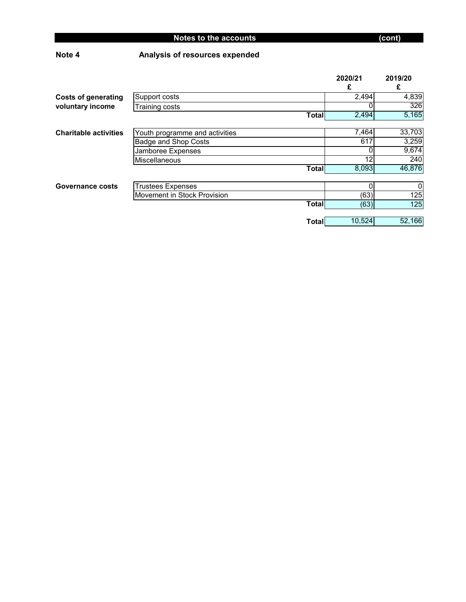# **Note 4 Analysis of resources expended**

|                              |                                |              | 2020/21<br>£ | 2019/20<br>£ |
|------------------------------|--------------------------------|--------------|--------------|--------------|
| <b>Costs of generating</b>   | Support costs                  |              | 2,494        | 4,839        |
| voluntary income             | Training costs                 |              | 0            | 326          |
|                              |                                | <b>Total</b> | 2,494        | 5,165        |
|                              |                                |              |              |              |
| <b>Charitable activities</b> | Youth programme and activities |              | 7,464        | 33,703       |
|                              | <b>Badge and Shop Costs</b>    |              | 617          | 3,259        |
|                              | Jamboree Expenses              |              | O            | 9,674        |
|                              | Miscellaneous                  |              | 12           | 240          |
|                              |                                | <b>Total</b> | 8,093        | 46,876       |
|                              |                                |              |              |              |
| Governance costs             | <b>Trustees Expenses</b>       |              | 0            | 0            |
|                              | Movement in Stock Provision    |              | (63)         | 125          |
|                              |                                | <b>Total</b> | (63)         | 125          |
|                              |                                |              |              |              |
|                              |                                | <b>Total</b> | 10,524       | 52,166       |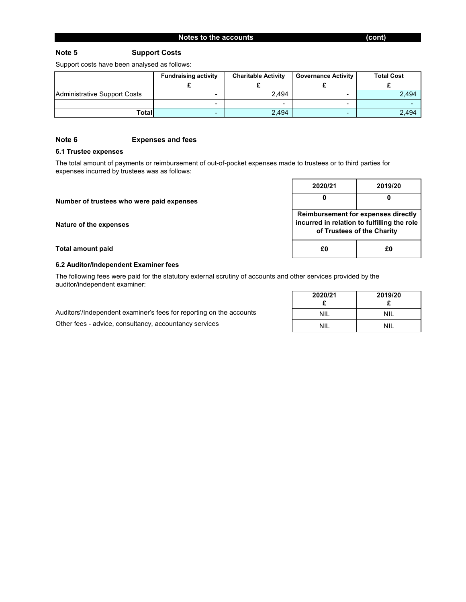#### **Note 5 Support Costs**

Support costs have been analysed as follows:

|                              | <b>Fundraising activity</b> | <b>Charitable Activity</b> | <b>Governance Activity</b> | <b>Total Cost</b> |
|------------------------------|-----------------------------|----------------------------|----------------------------|-------------------|
| Administrative Support Costs |                             | 2.494                      |                            | 2,494             |
|                              |                             |                            | -                          |                   |
| Total                        |                             | 2,494                      | $\overline{\phantom{a}}$   | 2,494             |

#### **Note 6 Expenses and fees**

#### **6.1 Trustee expenses**

The total amount of payments or reimbursement of out-of-pocket expenses made to trustees or to third parties for expenses incurred by trustees was as follows:

|                                           | 2020/21                                                                                                                 | 2019/20 |
|-------------------------------------------|-------------------------------------------------------------------------------------------------------------------------|---------|
| Number of trustees who were paid expenses | 0                                                                                                                       |         |
| Nature of the expenses                    | <b>Reimbursement for expenses directly</b><br>incurred in relation to fulfilling the role<br>of Trustees of the Charity |         |
| <b>Total amount paid</b>                  | £0                                                                                                                      | £O      |

#### **6.2 Auditor/Independent Examiner fees**

The following fees were paid for the statutory external scrutiny of accounts and other services provided by the auditor/independent examiner:

|                                                                     | 2020/21    | 2019/20    |
|---------------------------------------------------------------------|------------|------------|
|                                                                     |            |            |
| Auditors'/Independent examiner's fees for reporting on the accounts | <b>NIL</b> | <b>NIL</b> |
| Other fees - advice, consultancy, accountancy services              | <b>NIL</b> | <b>NIL</b> |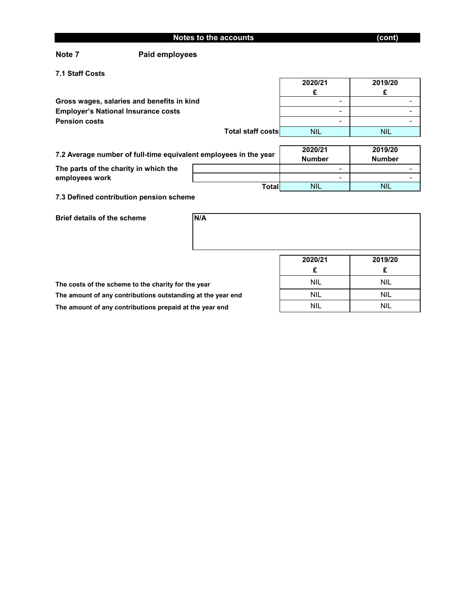| Notes to the accounts | (cont) |
|-----------------------|--------|
|                       |        |

### **Note 7 Paid employees**

**7.1 Staff Costs**

|                                                                  |                   | 2020/21       | 2019/20       |
|------------------------------------------------------------------|-------------------|---------------|---------------|
|                                                                  |                   |               |               |
| Gross wages, salaries and benefits in kind                       |                   |               |               |
| <b>Employer's National Insurance costs</b>                       |                   |               |               |
| <b>Pension costs</b>                                             |                   | -             |               |
|                                                                  | Total staff costs | <b>NIL</b>    | <b>NIL</b>    |
|                                                                  |                   |               |               |
|                                                                  |                   | 2020/21       | 2019/20       |
| 7.2 Average number of full-time equivalent employees in the year |                   | <b>Number</b> | <b>Number</b> |
| The parts of the charity in which the                            |                   |               |               |
| employees work                                                   |                   |               |               |
|                                                                  | Total             | <b>NIL</b>    | <b>NIL</b>    |

**7.3 Defined contribution pension scheme**

| <b>Brief details of the scheme</b>                          | N/A |            |            |
|-------------------------------------------------------------|-----|------------|------------|
|                                                             |     |            |            |
|                                                             |     |            |            |
|                                                             |     | 2020/21    | 2019/20    |
|                                                             |     | £          | £          |
| The costs of the scheme to the charity for the year         |     | <b>NIL</b> | <b>NIL</b> |
| The amount of any contributions outstanding at the year end |     | <b>NIL</b> | <b>NIL</b> |
| The amount of any contributions prepaid at the year end     |     | <b>NIL</b> | <b>NIL</b> |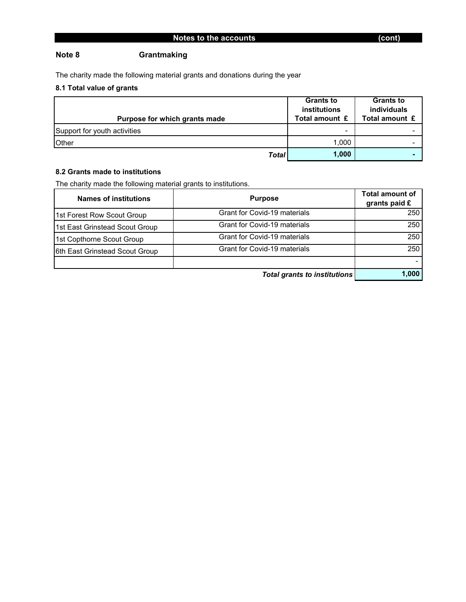### **Note 8 Grantmaking**

The charity made the following material grants and donations during the year

## **8.1 Total value of grants**

|                               | <b>Grants to</b> | <b>Grants to</b> |
|-------------------------------|------------------|------------------|
|                               | institutions     | individuals      |
| Purpose for which grants made | Total amount £   | Total amount £   |
| Support for youth activities  |                  |                  |
| <b>Other</b>                  | 1.000            |                  |
| <b>Total</b>                  | 1,000            |                  |

#### **8.2 Grants made to institutions**

The charity made the following material grants to institutions.

| <b>Names of institutions</b>   | <b>Purpose</b>                      | <b>Total amount of</b><br>grants paid £ |
|--------------------------------|-------------------------------------|-----------------------------------------|
| 1st Forest Row Scout Group     | Grant for Covid-19 materials        | 250                                     |
| 1st East Grinstead Scout Group | Grant for Covid-19 materials        | 250                                     |
| 1st Copthorne Scout Group      | <b>Grant for Covid-19 materials</b> | 250                                     |
| 6th East Grinstead Scout Group | Grant for Covid-19 materials        | 250                                     |
|                                |                                     |                                         |
|                                | <b>Total grants to institutions</b> | 1,000                                   |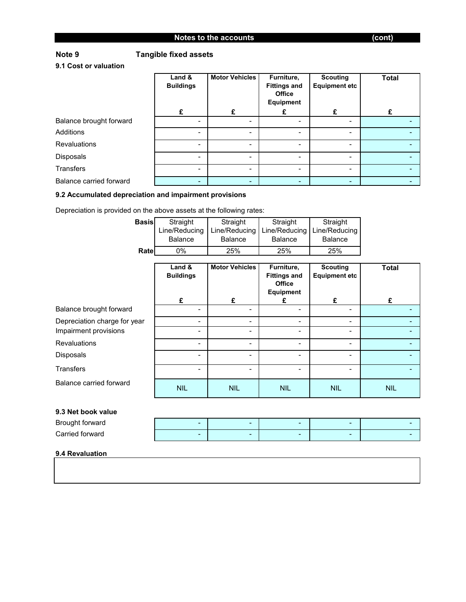### **Note 9 Tangible fixed assets**

**9.1 Cost or valuation**

|                                | Land &<br><b>Buildings</b> | <b>Motor Vehicles</b> | Furniture,<br><b>Fittings and</b><br><b>Office</b><br><b>Equipment</b> | <b>Scouting</b><br><b>Equipment etc</b> | <b>Total</b> |
|--------------------------------|----------------------------|-----------------------|------------------------------------------------------------------------|-----------------------------------------|--------------|
|                                | £                          | £                     |                                                                        |                                         |              |
| Balance brought forward        |                            |                       | -                                                                      | -                                       |              |
| <b>Additions</b>               | $\overline{\phantom{0}}$   |                       | -                                                                      | Ξ.                                      |              |
| <b>Revaluations</b>            |                            |                       | $\blacksquare$                                                         | ۰                                       |              |
| Disposals                      |                            |                       |                                                                        | $\blacksquare$                          |              |
| Transfers                      |                            |                       |                                                                        |                                         |              |
| <b>Balance carried forward</b> | -                          |                       |                                                                        | ۰                                       |              |

#### **9.2 Accumulated depreciation and impairment provisions**

Depreciation is provided on the above assets at the following rates:

| <b>Basis</b>                                          | Straight<br>Line/Reducing<br><b>Balance</b> | Straight<br>Line/Reducing<br><b>Balance</b> | Straight<br>Line/Reducing<br><b>Balance</b>                            | Straight<br>Line/Reducing<br><b>Balance</b> |              |
|-------------------------------------------------------|---------------------------------------------|---------------------------------------------|------------------------------------------------------------------------|---------------------------------------------|--------------|
| Rate                                                  | 0%                                          | 25%                                         | 25%                                                                    | 25%                                         |              |
|                                                       | Land &<br><b>Buildings</b>                  | <b>Motor Vehicles</b>                       | Furniture,<br><b>Fittings and</b><br><b>Office</b><br><b>Equipment</b> | <b>Scouting</b><br><b>Equipment etc</b>     | <b>Total</b> |
|                                                       | £                                           | £                                           | £                                                                      | £                                           | £            |
| Balance brought forward                               |                                             |                                             |                                                                        | $\blacksquare$                              |              |
| Depreciation charge for year<br>Impairment provisions |                                             |                                             | -                                                                      | -<br>-                                      |              |
| <b>Revaluations</b>                                   | $\overline{\phantom{0}}$                    |                                             |                                                                        | $\blacksquare$                              |              |
| <b>Disposals</b>                                      |                                             |                                             | -                                                                      | $\blacksquare$                              |              |
| Transfers                                             | $\blacksquare$                              |                                             | -                                                                      | $\overline{\phantom{a}}$                    |              |
| <b>Balance carried forward</b>                        | <b>NIL</b>                                  | <b>NIL</b>                                  | <b>NIL</b>                                                             | <b>NIL</b>                                  | <b>NIL</b>   |

#### **9.3 Net book value**

| Brought forward | $\overline{\phantom{a}}$ |   | -                        |   |  |
|-----------------|--------------------------|---|--------------------------|---|--|
| Carried forward | $\sim$                   | - | $\overline{\phantom{a}}$ | - |  |
|                 |                          |   |                          |   |  |

#### **9.4 Revaluation**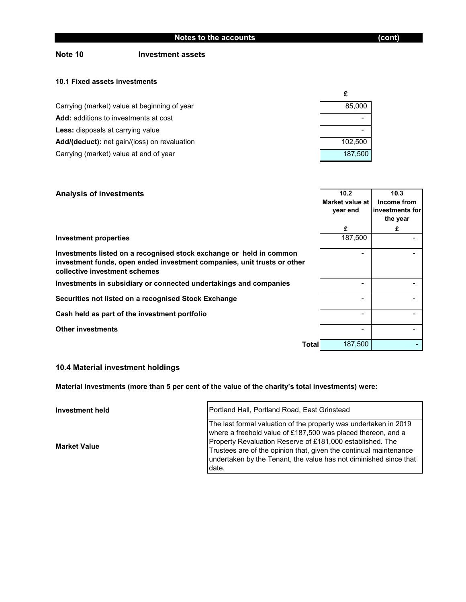### **Note 10 Investment assets**

#### **10.1 Fixed assets investments**

| Carrying (market) value at beginning of year | 85,000  |
|----------------------------------------------|---------|
| <b>Add:</b> additions to investments at cost |         |
| <b>Less:</b> disposals at carrying value     |         |
| Add/(deduct): net gain/(loss) on revaluation | 102.500 |
| Carrying (market) value at end of year       | 187.500 |

| <b>Analysis of investments</b>                                                                                                                                                  | 10.2<br>Market value at<br>year end | 10.3<br>Income from<br>investments for<br>the year |
|---------------------------------------------------------------------------------------------------------------------------------------------------------------------------------|-------------------------------------|----------------------------------------------------|
|                                                                                                                                                                                 | £                                   | £                                                  |
| <b>Investment properties</b>                                                                                                                                                    | 187,500                             |                                                    |
| Investments listed on a recognised stock exchange or held in common<br>investment funds, open ended investment companies, unit trusts or other<br>collective investment schemes |                                     |                                                    |
| Investments in subsidiary or connected undertakings and companies                                                                                                               |                                     |                                                    |
| Securities not listed on a recognised Stock Exchange                                                                                                                            |                                     |                                                    |
| Cash held as part of the investment portfolio                                                                                                                                   |                                     |                                                    |
| Other investments                                                                                                                                                               |                                     |                                                    |
| Total                                                                                                                                                                           | 187,500                             |                                                    |

#### **10.4 Material investment holdings**

**Material Investments (more than 5 per cent of the value of the charity's total investments) were:** 

**Investment held Market Value** The last formal valuation of the property was undertaken in 2019 where a freehold value of £187,500 was placed thereon, and a Property Revaluation Reserve of £181,000 established. The Trustees are of the opinion that, given the continual maintenance undertaken by the Tenant, the value has not diminished since that date. Portland Hall, Portland Road, East Grinstead

**£**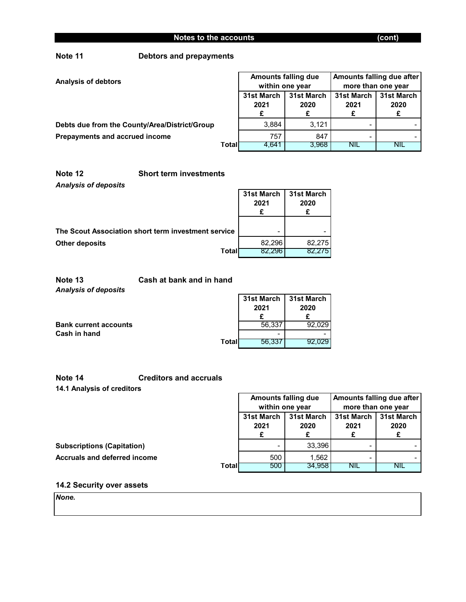## **Note 11 Debtors and prepayments**

| <b>Analysis of debtors</b>                    |       | <b>Amounts falling due</b><br>within one year |                    | Amounts falling due after<br>more than one year |                         |
|-----------------------------------------------|-------|-----------------------------------------------|--------------------|-------------------------------------------------|-------------------------|
|                                               |       | 31st March<br>2021                            | 31st March<br>2020 | 31st March<br>2021                              | 31st March<br>2020<br>£ |
| Debts due from the County/Area/District/Group |       | 3.884                                         | 3.121              | -                                               |                         |
| Prepayments and accrued income                |       | 757                                           | 847                |                                                 |                         |
|                                               | Total | 4.641                                         | 3,968              | <b>NIL</b>                                      | NIL                     |

### *Analysis of deposits* **Note 12 Short term investments**

|                                                     | 31st March<br>2021       | 31st March<br>2020 |
|-----------------------------------------------------|--------------------------|--------------------|
| The Scout Association short term investment service | $\overline{\phantom{0}}$ |                    |
| <b>Other deposits</b>                               | 82.296                   | 82.275             |
| Total                                               | 82.296                   | 82.275             |

*Analysis of deposits* **Note 13 Cash at bank and in hand**

|                              |        | 31st March I<br>2021 | 31st March<br>2020 |
|------------------------------|--------|----------------------|--------------------|
| <b>Bank current accounts</b> |        | 56,337               | 92.029             |
| Cash in hand                 |        | -                    | -                  |
|                              | Totall | 56.337               | 92.029             |

### **Note 14 Creditors and accruals**

**14.1 Analysis of creditors**

|                                   |       | Amounts falling due<br>within one year |            | Amounts falling due after |            |
|-----------------------------------|-------|----------------------------------------|------------|---------------------------|------------|
|                                   |       |                                        |            | more than one year        |            |
|                                   |       | 31st March                             | 31st March | 31st March                | 31st March |
|                                   |       | 2021                                   | 2020       | 2021                      | 2020       |
|                                   |       |                                        |            |                           |            |
| <b>Subscriptions (Capitation)</b> |       |                                        | 33,396     | -                         |            |
| Accruals and deferred income      |       | 500                                    | .562       | -                         |            |
|                                   | Total | 500                                    | 34,958     | NIL                       | NIL        |

# **14.2 Security over assets**

*None.*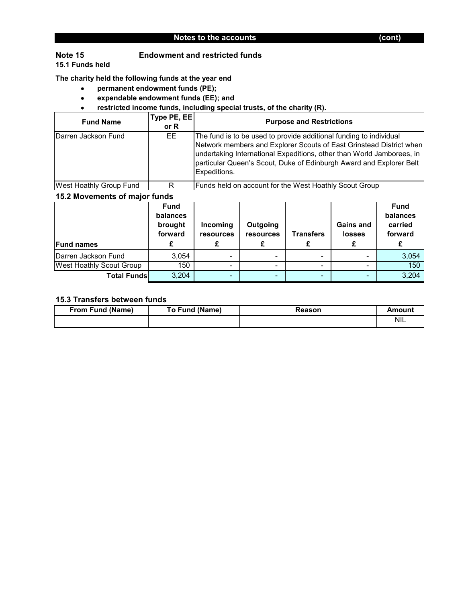#### **Note 15 Endowment and restricted funds**

**15.1 Funds held**

**The charity held the following funds at the year end**

- • **permanent endowment funds (PE);**
- • **expendable endowment funds (EE); and**
- • **restricted income funds, including special trusts, of the charity (R).**

| <b>Fund Name</b>        | Type PE, EE<br>or $R$ | <b>Purpose and Restrictions</b>                                                                                                                                                                                                                                                                           |
|-------------------------|-----------------------|-----------------------------------------------------------------------------------------------------------------------------------------------------------------------------------------------------------------------------------------------------------------------------------------------------------|
| Darren Jackson Fund     | EE.                   | The fund is to be used to provide additional funding to individual<br>Network members and Explorer Scouts of East Grinstead District when<br>undertaking International Expeditions, other than World Jamborees, in<br>particular Queen's Scout, Duke of Edinburgh Award and Explorer Belt<br>Expeditions. |
| West Hoathly Group Fund | R                     | Funds held on account for the West Hoathly Scout Group                                                                                                                                                                                                                                                    |

#### **15.2 Movements of major funds**

| <b>Fund names</b>               | <b>Fund</b><br>balances<br>brought<br>forward | <b>Incoming</b><br>resources | Outgoing<br>resources | <b>Transfers</b> | <b>Gains and</b><br><b>losses</b><br>£ | <b>Fund</b><br>balances<br>carried<br>forward |
|---------------------------------|-----------------------------------------------|------------------------------|-----------------------|------------------|----------------------------------------|-----------------------------------------------|
| Darren Jackson Fund             | 3,054                                         |                              |                       |                  |                                        | 3,054                                         |
| <b>West Hoathly Scout Group</b> | 150                                           | -                            |                       |                  |                                        | 150                                           |
| <b>Total Funds</b>              | 3,204                                         |                              |                       |                  |                                        | 3,204                                         |

### **15.3 Transfers between funds**

| <b>From Fund (Name)</b> | To Fund (Name) | Reason | Amount     |
|-------------------------|----------------|--------|------------|
|                         |                |        | <b>NIL</b> |